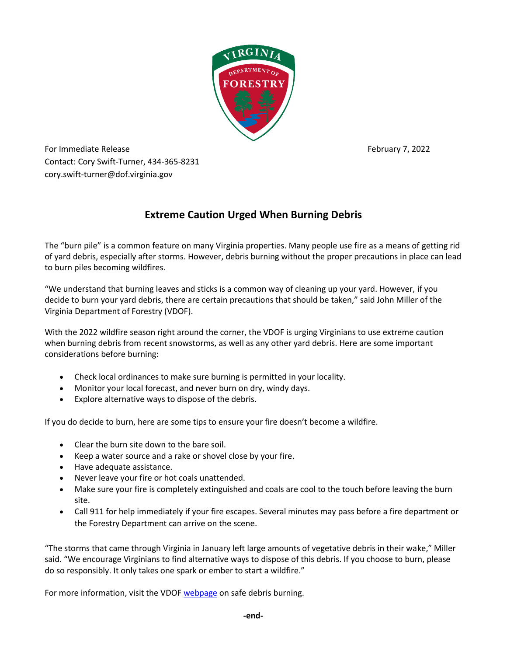

For Immediate Release February 7, 2022 Contact: Cory Swift-Turner, 434-365-8231 cory.swift-turner@dof.virginia.gov

## **Extreme Caution Urged When Burning Debris**

The "burn pile" is a common feature on many Virginia properties. Many people use fire as a means of getting rid of yard debris, especially after storms. However, debris burning without the proper precautions in place can lead to burn piles becoming wildfires.

"We understand that burning leaves and sticks is a common way of cleaning up your yard. However, if you decide to burn your yard debris, there are certain precautions that should be taken," said John Miller of the Virginia Department of Forestry (VDOF).

With the 2022 wildfire season right around the corner, the VDOF is urging Virginians to use extreme caution when burning debris from recent snowstorms, as well as any other yard debris. Here are some important considerations before burning:

- Check local ordinances to make sure burning is permitted in your locality.
- Monitor your local forecast, and never burn on dry, windy days.
- Explore alternative ways to dispose of the debris.

If you do decide to burn, here are some tips to ensure your fire doesn't become a wildfire.

- Clear the burn site down to the bare soil.
- Keep a water source and a rake or shovel close by your fire.
- Have adequate assistance.
- Never leave your fire or hot coals unattended.
- Make sure your fire is completely extinguished and coals are cool to the touch before leaving the burn site.
- Call 911 for help immediately if your fire escapes. Several minutes may pass before a fire department or the Forestry Department can arrive on the scene.

"The storms that came through Virginia in January left large amounts of vegetative debris in their wake," Miller said. "We encourage Virginians to find alternative ways to dispose of this debris. If you choose to burn, please do so responsibly. It only takes one spark or ember to start a wildfire."

For more information, visit the VDO[F webpage](https://dof.virginia.gov/wildland-prescribed-fire/wildfire-prevention/before-you-burn/) on safe debris burning.